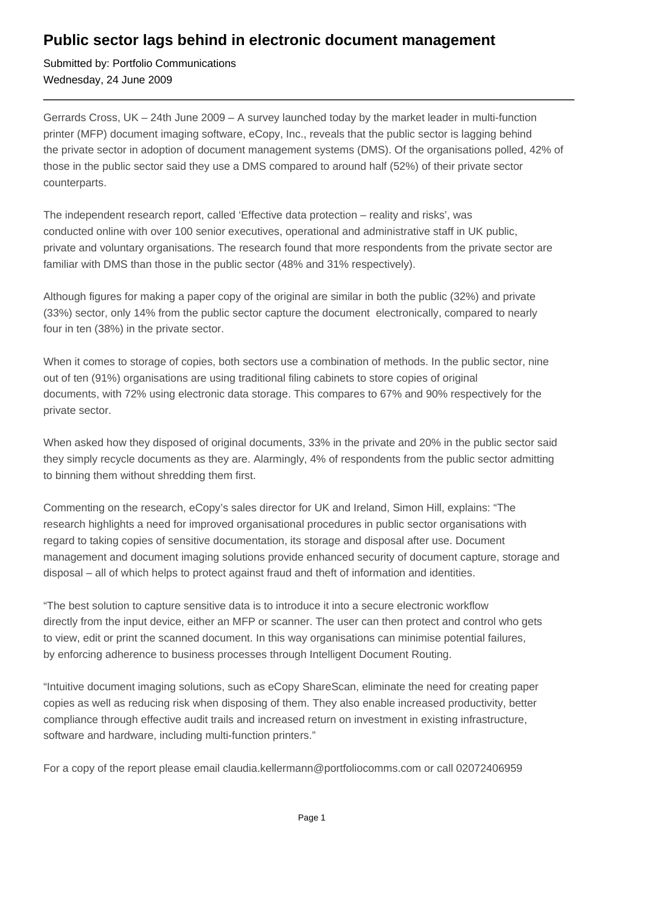## **Public sector lags behind in electronic document management**

Submitted by: Portfolio Communications Wednesday, 24 June 2009

Gerrards Cross, UK – 24th June 2009 – A survey launched today by the market leader in multi-function printer (MFP) document imaging software, eCopy, Inc., reveals that the public sector is lagging behind the private sector in adoption of document management systems (DMS). Of the organisations polled, 42% of those in the public sector said they use a DMS compared to around half (52%) of their private sector counterparts.

The independent research report, called 'Effective data protection – reality and risks', was conducted online with over 100 senior executives, operational and administrative staff in UK public, private and voluntary organisations. The research found that more respondents from the private sector are familiar with DMS than those in the public sector (48% and 31% respectively).

Although figures for making a paper copy of the original are similar in both the public (32%) and private (33%) sector, only 14% from the public sector capture the document electronically, compared to nearly four in ten (38%) in the private sector.

When it comes to storage of copies, both sectors use a combination of methods. In the public sector, nine out of ten (91%) organisations are using traditional filing cabinets to store copies of original documents, with 72% using electronic data storage. This compares to 67% and 90% respectively for the private sector.

When asked how they disposed of original documents, 33% in the private and 20% in the public sector said they simply recycle documents as they are. Alarmingly, 4% of respondents from the public sector admitting to binning them without shredding them first.

Commenting on the research, eCopy's sales director for UK and Ireland, Simon Hill, explains: "The research highlights a need for improved organisational procedures in public sector organisations with regard to taking copies of sensitive documentation, its storage and disposal after use. Document management and document imaging solutions provide enhanced security of document capture, storage and disposal – all of which helps to protect against fraud and theft of information and identities.

"The best solution to capture sensitive data is to introduce it into a secure electronic workflow directly from the input device, either an MFP or scanner. The user can then protect and control who gets to view, edit or print the scanned document. In this way organisations can minimise potential failures, by enforcing adherence to business processes through Intelligent Document Routing.

"Intuitive document imaging solutions, such as eCopy ShareScan, eliminate the need for creating paper copies as well as reducing risk when disposing of them. They also enable increased productivity, better compliance through effective audit trails and increased return on investment in existing infrastructure, software and hardware, including multi-function printers."

For a copy of the report please email claudia.kellermann@portfoliocomms.com or call 02072406959